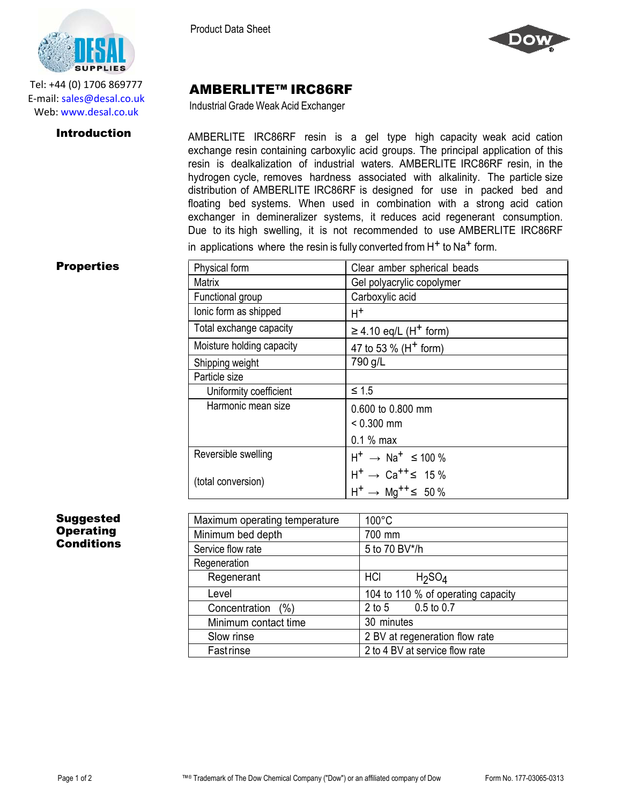

AMBERLITE™ IRC86RF Industrial Grade Weak Acid Exchanger



Tel: +44 (0) 1706 869777 E‐mail: sales@desal.co.uk Web: www.desal.co.uk

**Introduction** AMBERLITE IRC86RF resin is a gel type high capacity weak acid cation exchange resin containing carboxylic acid groups. The principal application of this resin is dealkalization of industrial waters. AMBERLITE IRC86RF resin, in the hydrogen cycle, removes hardness associated with alkalinity. The particle size distribution of AMBERLITE IRC86RF is designed for use in packed bed and floating bed systems. When used in combination with a strong acid cation exchanger in demineralizer systems, it reduces acid regenerant consumption. Due to its high swelling, it is not recommended to use AMBERLITE IRC86RF in applications where the resin is fully converted from  $H<sup>+</sup>$  to Na<sup>+</sup> form.

## **Properties**

| Physical form             | Clear amber spherical beads                      |
|---------------------------|--------------------------------------------------|
| Matrix                    | Gel polyacrylic copolymer                        |
| Functional group          | Carboxylic acid                                  |
| lonic form as shipped     | $H^+$                                            |
| Total exchange capacity   | $\geq$ 4.10 eq/L (H <sup>+</sup> form)           |
| Moisture holding capacity | 47 to 53 % (H <sup>+</sup> form)                 |
| Shipping weight           | 790 g/L                                          |
| Particle size             |                                                  |
| Uniformity coefficient    | $\leq 1.5$                                       |
| Harmonic mean size        | 0.600 to 0.800 mm                                |
|                           | $< 0.300$ mm                                     |
|                           | $0.1\%$ max                                      |
| Reversible swelling       | $H^+$ $\rightarrow$ Na <sup>+</sup> $\leq$ 100 % |
| (total conversion)        | $H^+ \rightarrow Ca^{++} \leq 15\%$              |
|                           | $H^+ \rightarrow Mg^{++} \leq 50\%$              |

## Suggested **Operating** Conditions

| Maximum operating temperature | $100^{\circ}$ C                       |
|-------------------------------|---------------------------------------|
| Minimum bed depth             | 700 mm                                |
| Service flow rate             | 5 to 70 BV*/h                         |
| Regeneration                  |                                       |
| Regenerant                    | HCI<br>H <sub>2</sub> SO <sub>4</sub> |
| Level                         | 104 to 110 % of operating capacity    |
| Concentration (%)             | $0.5$ to $0.7$<br>$2$ to 5            |
| Minimum contact time          | 30 minutes                            |
| Slow rinse                    | 2 BV at regeneration flow rate        |
| Fastrinse                     | 2 to 4 BV at service flow rate        |